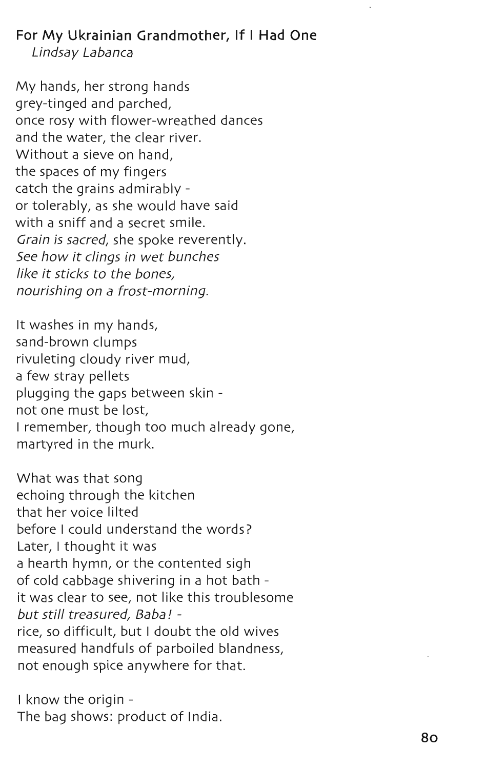**For My Ukrainian Grandmother, If I Had One**  Lindsay Labanca

My hands, her strong hands grey-tinged and parched, once rosy with flower-wreathed dances and the water, the clear river. Without a sieve on hand, the spaces of my fingers catch the grains admirably or tolerably, as she would have said with a sniff and a secret smile. Grain is sacred, she spoke reverently. See how it clings in wet bunches like it sticks to the bones, nourishing on a frost-morning.

It washes in my hands, sand-brown clumps rivuleting cloudy river mud, a few stray pellets plugging the gaps between skin not one must be lost, I remember, though too much already gone, martyred in the murk.

What was that song echoing through the kitchen that her voice lilted before I could understand the words? Later, I thought it was a hearth hymn, or the contented sigh of cold cabbage shivering in a hot bath it was clear to see, not like this troublesome but still treasured, Baba! rice, so difficult, but I doubt the old wives measured handfuls of parboiled blandness, not enough spice anywhere for that.

I know the origin -The bag shows: product of India.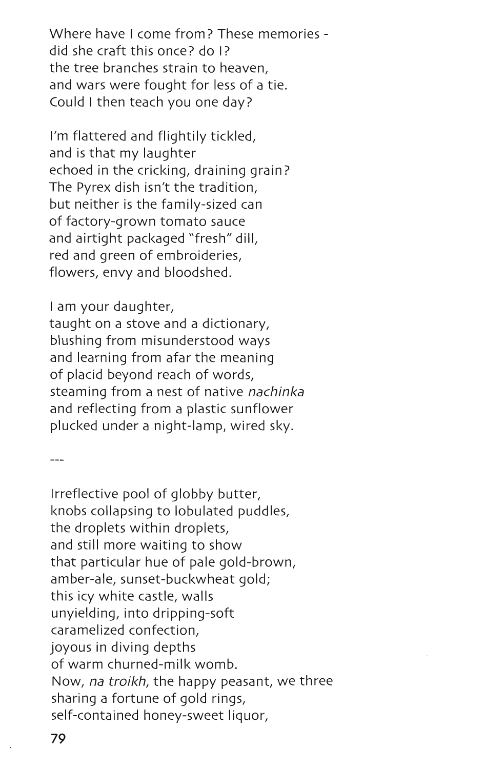Where have I come from? These memories did she craft this once? do I? the tree branches strain to heaven, and wars were fought for less of a tie. Could I then teach you one day?

I'm flattered and flightily tickled, and is that my laughter echoed in the cricking, draining grain? The Pyrex dish isn't the tradition, but neither is the family-sized can of factory-grown tomato sauce and airtight packaged "fresh" dill, red and green of embroideries, flowers, envy and bloodshed.

I am your daughter,

taught on a stove and a dictionary, blushing from misunderstood ways and learning from afar the meaning of placid beyond reach of words, steaming from a nest of native *nachinka*  and reflecting from a plastic sunflower plucked under a night-lamp, wired sky.

Irreflective pool of globby butter, knobs collapsing to lobulated puddles, the droplets within droplets, and still more waiting to show that particular hue of pale gold-brown, amber-ale, sunset-buckwheat gold; this icy white castle, walls unyielding, into dripping-soft caramelized confection, joyous in diving depths of warm churned-milk womb. Now, *na troikh,* the happy peasant, we three sharing a fortune of gold rings, self-contained honey-sweet liquor,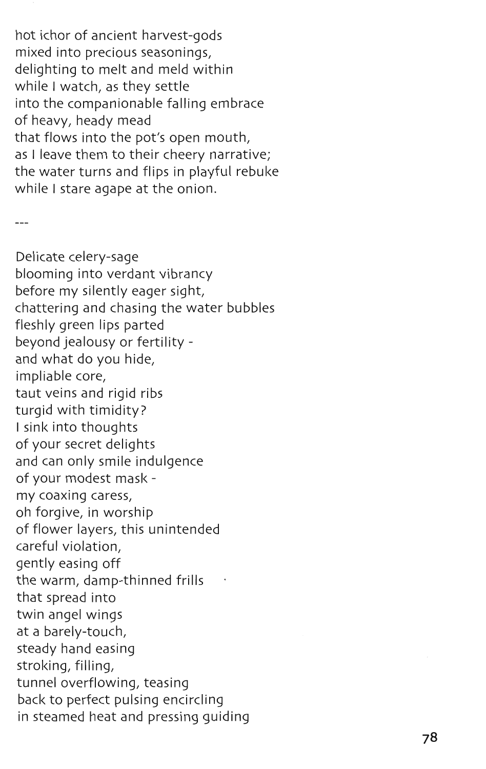hot ichor of ancient harvest-gods mixed into precious seasonings, delighting to melt and meld within while I watch, as they settle into the companionable falling embrace of heavy, heady mead that flows into the pot's open mouth, as I leave them to their cheery narrative; the water turns and flips in playful rebuke while I stare agape at the onion.

 $---$ 

Delicate celery-sage blooming into verdant vibrancy before my silently eager sight, chattering and chasing the water bubbles fleshly green lips parted beyond jealousy or fertility and what do you hide, impliable core, taut veins and rigid ribs turgid with timidity? I sink into thoughts of your secret delights and can only smile indulgence of your modest mask my coaxing caress, oh forgive, in worship of flower layers, this unintended careful violation, gently easing off the warm, damp-thinned frills that spread into twin angel wings at a barely-touch, steady hand easing stroking, filling, tunnel overflowing, teasing back to perfect pulsing encircling in steamed heat and pressing guiding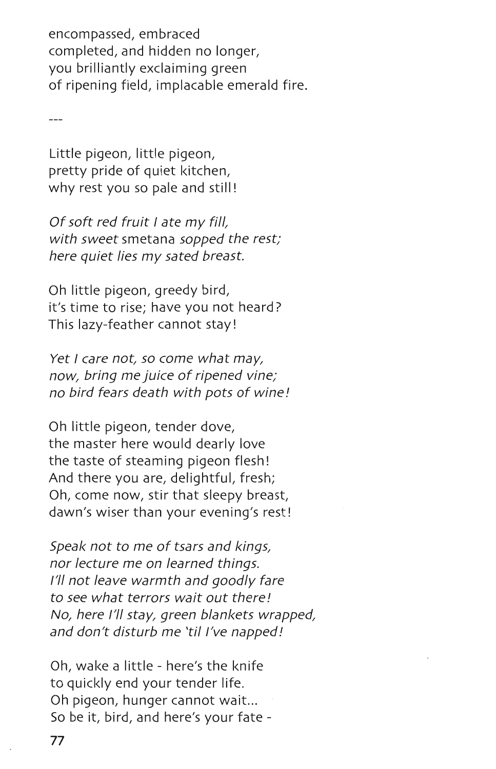encompassed, embraced completed, and hidden no longer, you brilliantly exclaiming green of ripening field, implacable emerald fire.

Little pigeon, little pigeon, pretty pride of quiet kitchen, why rest you so pale and still!

Of soft red fruit I ate my fill, with sweet smetana sopped the rest; here quiet lies my sated breast.

Oh little pigeon, greedy bird, it's time to rise; have you not heard? This lazy-feather cannot stay!

Yet I care not, so come what may, now, bring me juice of ripened vine; no bird fears death with pots of wine!

Oh little pigeon, tender dove, the master here would dearly love the taste of steaming pigeon flesh! And there you are, delightful, fresh; Oh, come now, stir that sleepy breast, dawn's wiser than your evening's rest!

Speak not to me of tsars and kings, nor lecture me on learned things. I'll not leave warmth and goodly fare to see what terrors wait out there! No, here I'll stay, green blankets wrapped, and don't disturb me 'til I've napped!

Oh, wake a little - here's the knife to quickly end your tender life. Oh pigeon, hunger cannot wait... So be it, bird, and here's your fate -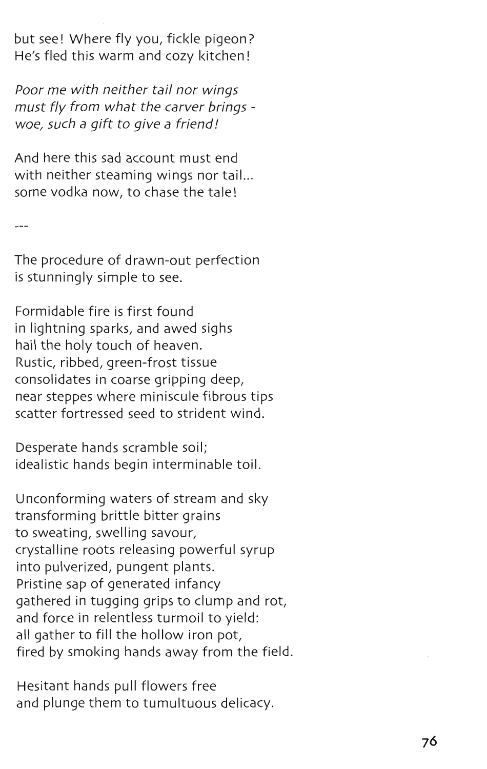but see! Where fly you, fickle pigeon? He's fled this warm and cozy kitchen!

Poor me with neither tail nor wings must fly from what the carver brings woe, such a gift to give a friend!

And here this sad account must end with neither steaming wings nor tail... some vodka now, to chase the tale!

The procedure of drawn-out perfection is stunningly simple to see.

Formidable fire is first found in lightning sparks, and awed sighs hail the holy touch of heaven. Rustic, ribbed, green-frost tissue consolidates in coarse gripping deep, near steppes where miniscule fibrous tips scatter fortressed seed to strident wind.

Desperate hands scramble soil; idealistic hands begin interminable toil.

Unconforming waters of stream and sky transforming brittle bitter grains to sweating, swelling savour, crystalline roots releasing powerful syrup into pulverized, pungent plants. Pristine sap of generated infancy gathered in tugging grips to clump and rot, and force in relentless turmoil to yield: all gather to fill the hollow iron pot, fired by smoking hands away from the field.

Hesitant hands pull flowers free and plunge them to tumultuous delicacy.